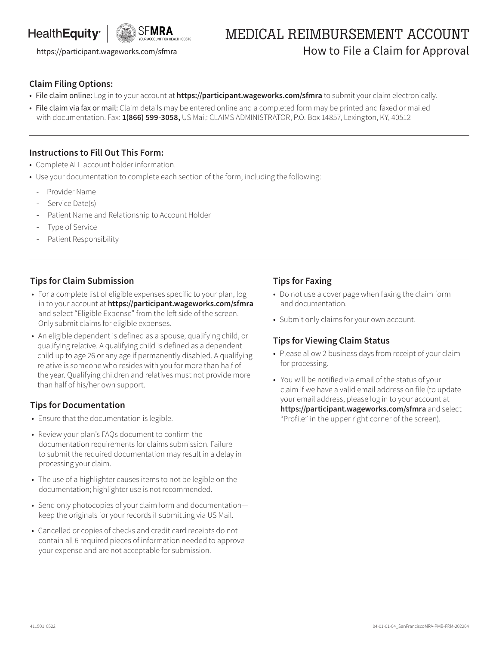## HealthEquity<sup>®</sup>



# MEDICAL REIMBURSEMENT ACCOUNT https://participant.wageworks.com/sfmra **How to File a Claim for Approval**

### **Claim Filing Options:**

- File claim online: Log in to your account at **https://participant.wageworks.com/sfmra** to submit your claim electronically.
- File claim via fax or mail: Claim details may be entered online and a completed form may be printed and faxed or mailed with documentation. Fax: **1(866) 599-3058,** US Mail: CLAIMS ADMINISTRATOR, P.O. Box 14857, Lexington, KY, 40512

#### **Instructions to Fill Out This Form:**

- Complete ALL account holder information.
- Use your documentation to complete each section of the form, including the following:
	- Provider Name
	- Service Date(s)
	- Patient Name and Relationship to Account Holder
	- Type of Service
	- Patient Responsibility

#### **Tips for Claim Submission**

- For a complete list of eligible expenses specific to your plan, log in to your account at **https://participant.wageworks.com/sfmra**  and select "Eligible Expense" from the left side of the screen. Only submit claims for eligible expenses.
- An eligible dependent is defined as a spouse, qualifying child, or qualifying relative. A qualifying child is defined as a dependent child up to age 26 or any age if permanently disabled. A qualifying relative is someone who resides with you for more than half of the year. Qualifying children and relatives must not provide more than half of his/her own support.

#### **Tips for Documentation**

- Ensure that the documentation is legible.
- Review your plan's FAQs document to confirm the documentation requirements for claims submission. Failure to submit the required documentation may result in a delay in processing your claim.
- The use of a highlighter causes items to not be legible on the documentation; highlighter use is not recommended.
- Send only photocopies of your claim form and documentation keep the originals for your records if submitting via US Mail.
- Cancelled or copies of checks and credit card receipts do not contain all 6 required pieces of information needed to approve your expense and are not acceptable for submission.

#### **Tips for Faxing**

- Do not use a cover page when faxing the claim form and documentation.
- Submit only claims for your own account.

### **Tips for Viewing Claim Status**

- Please allow 2 business days from receipt of your claim for processing.
- You will be notified via email of the status of your claim if we have a valid email address on file (to update your email address, please log in to your account at **https://participant.wageworks.com/sfmra** and select "Profile" in the upper right corner of the screen).